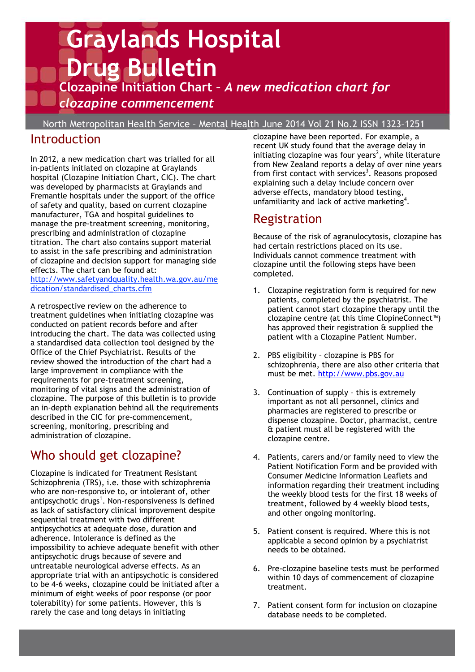# **Graylands Hospital Drug Bulletin Clozapine Initiation Chart –** *A new medication chart for clozapine commencement*

North Metropolitan Health Service – Mental Health June 2014 Vol 21 No.2 ISSN 1323–1251

## **Introduction**

In 2012, a new medication chart was trialled for all in-patients initiated on clozapine at Graylands hospital (Clozapine Initiation Chart, CIC). The chart was developed by pharmacists at Graylands and Fremantle hospitals under the support of the office of safety and quality, based on current clozapine manufacturer, TGA and hospital guidelines to manage the pre-treatment screening, monitoring, prescribing and administration of clozapine titration. The chart also contains support material to assist in the safe prescribing and administration of clozapine and decision support for managing side effects. The chart can be found at: http://www.safetyandquality.health.wa.gov.au/me

dication/standardised\_charts.cfm

A retrospective review on the adherence to treatment guidelines when initiating clozapine was conducted on patient records before and after introducing the chart. The data was collected using a standardised data collection tool designed by the Office of the Chief Psychiatrist. Results of the review showed the introduction of the chart had a large improvement in compliance with the requirements for pre-treatment screening, monitoring of vital signs and the administration of clozapine. The purpose of this bulletin is to provide an in-depth explanation behind all the requirements described in the CIC for pre-commencement, screening, monitoring, prescribing and administration of clozapine.

# Who should get clozapine?

Clozapine is indicated for Treatment Resistant Schizophrenia (TRS), i.e. those with schizophrenia who are non-responsive to, or intolerant of, other antipsychotic drugs<sup>1</sup>. Non-responsiveness is defined as lack of satisfactory clinical improvement despite sequential treatment with two different antipsychotics at adequate dose, duration and adherence. Intolerance is defined as the impossibility to achieve adequate benefit with other antipsychotic drugs because of severe and untreatable neurological adverse effects. As an appropriate trial with an antipsychotic is considered to be 4-6 weeks, clozapine could be initiated after a minimum of eight weeks of poor response (or poor tolerability) for some patients. However, this is rarely the case and long delays in initiating

clozapine have been reported. For example, a recent UK study found that the average delay in initiating clozapine was four years<sup>2</sup>, while literature from New Zealand reports a delay of over nine years from first contact with services<sup>3</sup>. Reasons proposed explaining such a delay include concern over adverse effects, mandatory blood testing, unfamiliarity and lack of active marketing<sup>4</sup>.

### Registration

Because of the risk of agranulocytosis, clozapine has had certain restrictions placed on its use. Individuals cannot commence treatment with clozapine until the following steps have been completed.

- 1. Clozapine registration form is required for new patients, completed by the psychiatrist. The patient cannot start clozapine therapy until the clozapine centre (at this time ClopineConnect™) has approved their registration & supplied the patient with a Clozapine Patient Number.
- 2. PBS eligibility clozapine is PBS for schizophrenia, there are also other criteria that must be met. http://www.pbs.gov.au
- 3. Continuation of supply this is extremely important as not all personnel, clinics and pharmacies are registered to prescribe or dispense clozapine. Doctor, pharmacist, centre & patient must all be registered with the clozapine centre.
- 4. Patients, carers and/or family need to view the Patient Notification Form and be provided with Consumer Medicine Information Leaflets and information regarding their treatment including the weekly blood tests for the first 18 weeks of treatment, followed by 4 weekly blood tests, and other ongoing monitoring.
- 5. Patient consent is required. Where this is not applicable a second opinion by a psychiatrist needs to be obtained.
- 6. Pre-clozapine baseline tests must be performed within 10 days of commencement of clozapine treatment.
- 7. Patient consent form for inclusion on clozapine database needs to be completed.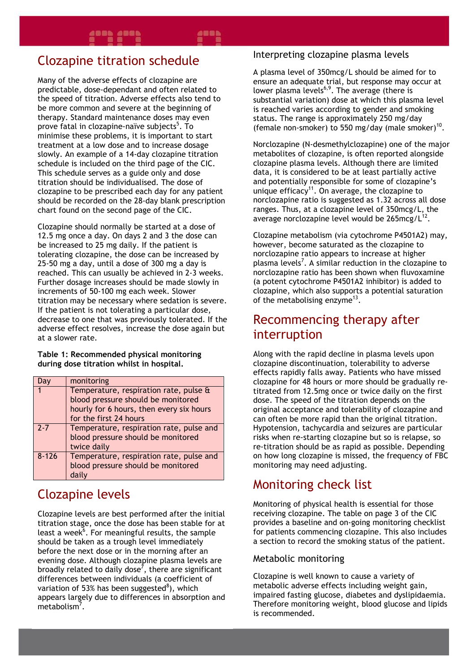# Clozapine titration schedule

 clozapine to be prescribed each day for any patient Many of the adverse effects of clozapine are predictable, dose-dependant and often related to the speed of titration. Adverse effects also tend to be more common and severe at the beginning of therapy. Standard maintenance doses may even prove fatal in clozapine-naïve subjects<sup>5</sup>. To minimise these problems, it is important to start treatment at a low dose and to increase dosage slowly. An example of a 14-day clozapine titration schedule is included on the third page of the CIC. This schedule serves as a guide only and dose titration should be individualised. The dose of should be recorded on the 28-day blank prescription chart found on the second page of the CIC.

Clozapine should normally be started at a dose of 12.5 mg once a day. On days 2 and 3 the dose can be increased to 25 mg daily. If the patient is tolerating clozapine, the dose can be increased by 25-50 mg a day, until a dose of 300 mg a day is reached. This can usually be achieved in 2-3 weeks. Further dosage increases should be made slowly in increments of 50-100 mg each week. Slower titration may be necessary where sedation is severe. If the patient is not tolerating a particular dose, decrease to one that was previously tolerated. If the adverse effect resolves, increase the dose again but at a slower rate.

**Table 1: Recommended physical monitoring during dose titration whilst in hospital.** 

|           | monitoring                               |  |  |  |
|-----------|------------------------------------------|--|--|--|
|           | Temperature, respiration rate, pulse &   |  |  |  |
|           | blood pressure should be monitored       |  |  |  |
|           | hourly for 6 hours, then every six hours |  |  |  |
|           | for the first 24 hours                   |  |  |  |
| $7 - 7$   | Temperature, respiration rate, pulse and |  |  |  |
|           | blood pressure should be monitored       |  |  |  |
|           | twice daily                              |  |  |  |
| $8 - 126$ | Temperature, respiration rate, pulse and |  |  |  |
|           | blood pressure should be monitored       |  |  |  |
|           | daily                                    |  |  |  |

# Clozapine levels

Clozapine levels are best performed after the initial titration stage, once the dose has been stable for at least a week<sup>6</sup>. For meaningful results, the sample should be taken as a trough level immediately before the next dose or in the morning after an evening dose. Although clozapine plasma levels are broadly related to daily dose<sup>7</sup>, there are significant differences between individuals (a coefficient of variation of 53% has been suggested<sup>8</sup>), which appears largely due to differences in absorption and metabolism<sup>7</sup>.

#### Interpreting clozapine plasma levels

A plasma level of 350mcg/L should be aimed for to ensure an adequate trial, but response may occur at lower plasma levels<sup>6,9</sup>. The average (there is substantial variation) dose at which this plasma level is reached varies according to gender and smoking status. The range is approximately 250 mg/day (female non-smoker) to 550 mg/day (male smoker)<sup>10</sup>.

Norclozapine (N-desmethylclozapine) one of the major metabolites of clozapine, is often reported alongside clozapine plasma levels. Although there are limited data, it is considered to be at least partially active and potentially responsible for some of clozapine's unique efficacy<sup>11</sup>. On average, the clozapine to norclozapine ratio is suggested as 1.32 across all dose ranges. Thus, at a clozapine level of 350mcg/L, the average norclozapine level would be  $265$ mcg/ $L^{12}$ .

Clozapine metabolism (via cytochrome P4501A2) may, however, become saturated as the clozapine to norclozapine ratio appears to increase at higher plasma levels<sup>7</sup>. A similar reduction in the clozapine to norclozapine ratio has been shown when fluvoxamine (a potent cytochrome P4501A2 inhibitor) is added to clozapine, which also supports a potential saturation of the metabolising enzyme<sup>13</sup>.

## Recommencing therapy after interruption

Along with the rapid decline in plasma levels upon clozapine discontinuation, tolerability to adverse effects rapidly falls away. Patients who have missed clozapine for 48 hours or more should be gradually retitrated from 12.5mg once or twice daily on the first dose. The speed of the titration depends on the original acceptance and tolerability of clozapine and can often be more rapid than the original titration. Hypotension, tachycardia and seizures are particular risks when re-starting clozapine but so is relapse, so re-titration should be as rapid as possible. Depending on how long clozapine is missed, the frequency of FBC monitoring may need adjusting.

## Monitoring check list

Monitoring of physical health is essential for those receiving clozapine. The table on page 3 of the CIC provides a baseline and on-going monitoring checklist for patients commencing clozapine. This also includes a section to record the smoking status of the patient.

#### Metabolic monitoring

Clozapine is well known to cause a variety of metabolic adverse effects including weight gain, impaired fasting glucose, diabetes and dyslipidaemia. Therefore monitoring weight, blood glucose and lipids is recommended.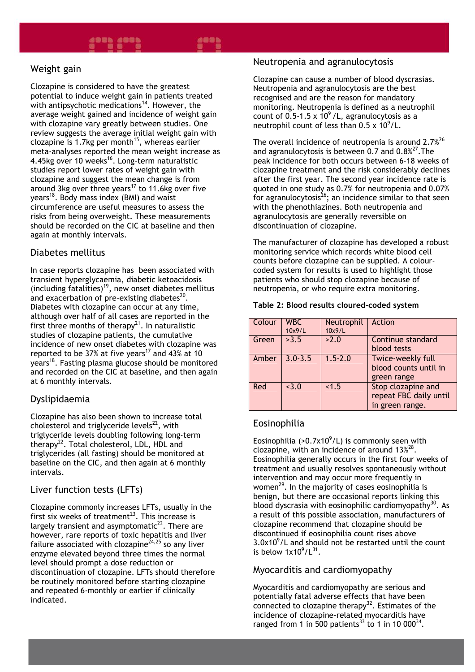#### 488**b 488b** 488 Z

#### Weight gain

Clozapine is considered to have the greatest potential to induce weight gain in patients treated with antipsychotic medications<sup>14</sup>. However, the average weight gained and incidence of weight gain with clozapine vary greatly between studies. One review suggests the average initial weight gain with clozapine is 1.7kg per month<sup>15</sup>, whereas earlier meta-analyses reported the mean weight increase as 4.45kg over 10 weeks<sup>16</sup>. Long-term naturalistic studies report lower rates of weight gain with clozapine and suggest the mean change is from around 3kg over three years<sup>17</sup> to 11.6kg over five years<sup>18</sup>. Body mass index (BMI) and waist circumference are useful measures to assess the risks from being overweight. These measurements should be recorded on the CIC at baseline and then again at monthly intervals.

#### Diabetes mellitus

In case reports clozapine has been associated with transient hyperglycaemia, diabetic ketoacidosis (including fatalities)<sup>19</sup>, new onset diabetes mellitus and exacerbation of pre-existing diabetes $^{20}$ . Diabetes with clozapine can occur at any time, although over half of all cases are reported in the first three months of therapy $2<sup>1</sup>$ . In naturalistic studies of clozapine patients, the cumulative incidence of new onset diabetes with clozapine was reported to be 37% at five years<sup>17</sup> and 43% at 10 years<sup>18</sup>. Fasting plasma glucose should be monitored and recorded on the CIC at baseline, and then again at 6 monthly intervals.

#### Dyslipidaemia

Clozapine has also been shown to increase total cholesterol and triglyceride levels $^{22}$ , with triglyceride levels doubling following long-term therapy<sup>22</sup>. Total cholesterol, LDL, HDL and triglycerides (all fasting) should be monitored at baseline on the CIC, and then again at 6 monthly intervals.

#### Liver function tests (LFTs)

Clozapine commonly increases LFTs, usually in the first six weeks of treatment<sup>23</sup>. This increase is largely transient and asymptomatic $^{23}$ . There are however, rare reports of toxic hepatitis and liver failure associated with clozapine $24,25$  so any liver enzyme elevated beyond three times the normal level should prompt a dose reduction or discontinuation of clozapine. LFTs should therefore be routinely monitored before starting clozapine and repeated 6-monthly or earlier if clinically indicated.

#### Neutropenia and agranulocytosis

Clozapine can cause a number of blood dyscrasias. Neutropenia and agranulocytosis are the best recognised and are the reason for mandatory monitoring. Neutropenia is defined as a neutrophil count of 0.5-1.5 x 10 $^{9}$  /L, agranulocytosis as a neutrophil count of less than  $0.5 \times 10^9$ /L.

The overall incidence of neutropenia is around  $2.7\%$ <sup>26</sup> and agranulocytosis is between 0.7 and  $0.8\frac{27}{1}$ . The peak incidence for both occurs between 6-18 weeks of clozapine treatment and the risk considerably declines after the first year. The second year incidence rate is quoted in one study as 0.7% for neutropenia and 0.07% for agranulocytosis $^{26}$ ; an incidence similar to that seen with the phenothiazines. Both neutropenia and agranulocytosis are generally reversible on discontinuation of clozapine.

The manufacturer of clozapine has developed a robust monitoring service which records white blood cell counts before clozapine can be supplied. A colourcoded system for results is used to highlight those patients who should stop clozapine because of neutropenia, or who require extra monitoring.

#### **Table 2: Blood results cloured-coded system**

| Colour | <b>WBC</b>  | Neutrophil  | Action                 |
|--------|-------------|-------------|------------------------|
|        | 10x9/L      | 10x9/L      |                        |
| Green  | >3.5        | >2.0        | Continue standard      |
|        |             |             | blood tests            |
| Amber  | $3.0 - 3.5$ | $1.5 - 2.0$ | Twice-weekly full      |
|        |             |             | blood counts until in  |
|        |             |             | green range            |
| Red    | 3.0         | 1.5         | Stop clozapine and     |
|        |             |             | repeat FBC daily until |
|        |             |             | in green range.        |

#### Eosinophilia

3

Eosinophilia (>0.7x10 $^9$ /L) is commonly seen with clozapine, with an incidence of around 13 $\frac{\cancel{2}^{28}}{2}$ . Eosinophilia generally occurs in the first four weeks of treatment and usually resolves spontaneously without intervention and may occur more frequently in women<sup>29</sup>. In the majority of cases eosinophilia is benign, but there are occasional reports linking this blood dyscrasia with eosinophilic cardiomyopathy<sup>30</sup>. As a result of this possible association, manufacturers of clozapine recommend that clozapine should be discontinued if eosinophilia count rises above  $3.0x10<sup>9</sup>/L$  and should not be restarted until the count is below  $1x10^9$ /L<sup>31</sup>.

#### Myocarditis and cardiomyopathy

Myocarditis and cardiomyopathy are serious and potentially fatal adverse effects that have been connected to clozapine therapy<sup>32</sup>. Estimates of the incidence of clozapine-related myocarditis have ranged from 1 in 500 patients<sup>33</sup> to 1 in 10 000<sup>34</sup>.